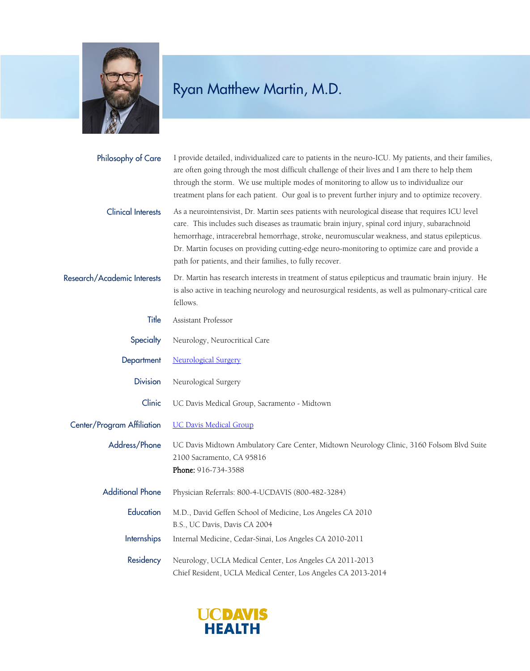

## Ryan Matthew Martin, M.D.

| Philosophy of Care          | I provide detailed, individualized care to patients in the neuro-ICU. My patients, and their families,<br>are often going through the most difficult challenge of their lives and I am there to help them<br>through the storm. We use multiple modes of monitoring to allow us to individualize our<br>treatment plans for each patient. Our goal is to prevent further injury and to optimize recovery.                                                       |
|-----------------------------|-----------------------------------------------------------------------------------------------------------------------------------------------------------------------------------------------------------------------------------------------------------------------------------------------------------------------------------------------------------------------------------------------------------------------------------------------------------------|
| <b>Clinical Interests</b>   | As a neurointensivist, Dr. Martin sees patients with neurological disease that requires ICU level<br>care. This includes such diseases as traumatic brain injury, spinal cord injury, subarachnoid<br>hemorrhage, intracerebral hemorrhage, stroke, neuromuscular weakness, and status epilepticus.<br>Dr. Martin focuses on providing cutting-edge neuro-monitoring to optimize care and provide a<br>path for patients, and their families, to fully recover. |
| Research/Academic Interests | Dr. Martin has research interests in treatment of status epilepticus and traumatic brain injury. He<br>is also active in teaching neurology and neurosurgical residents, as well as pulmonary-critical care<br>fellows.                                                                                                                                                                                                                                         |
| Title                       | Assistant Professor                                                                                                                                                                                                                                                                                                                                                                                                                                             |
| Specialty                   | Neurology, Neurocritical Care                                                                                                                                                                                                                                                                                                                                                                                                                                   |
| Department                  | <b>Neurological Surgery</b>                                                                                                                                                                                                                                                                                                                                                                                                                                     |
| <b>Division</b>             | Neurological Surgery                                                                                                                                                                                                                                                                                                                                                                                                                                            |
| Clinic                      | UC Davis Medical Group, Sacramento - Midtown                                                                                                                                                                                                                                                                                                                                                                                                                    |
| Center/Program Affiliation  | <b>UC Davis Medical Group</b>                                                                                                                                                                                                                                                                                                                                                                                                                                   |
| Address/Phone               | UC Davis Midtown Ambulatory Care Center, Midtown Neurology Clinic, 3160 Folsom Blvd Suite<br>2100 Sacramento, CA 95816<br>Phone: 916-734-3588                                                                                                                                                                                                                                                                                                                   |
| <b>Additional Phone</b>     | Physician Referrals: 800-4-UCDAVIS (800-482-3284)                                                                                                                                                                                                                                                                                                                                                                                                               |
| Education                   | M.D., David Geffen School of Medicine, Los Angeles CA 2010<br>B.S., UC Davis, Davis CA 2004                                                                                                                                                                                                                                                                                                                                                                     |
| Internships                 | Internal Medicine, Cedar-Sinai, Los Angeles CA 2010-2011                                                                                                                                                                                                                                                                                                                                                                                                        |
| Residency                   | Neurology, UCLA Medical Center, Los Angeles CA 2011-2013<br>Chief Resident, UCLA Medical Center, Los Angeles CA 2013-2014                                                                                                                                                                                                                                                                                                                                       |

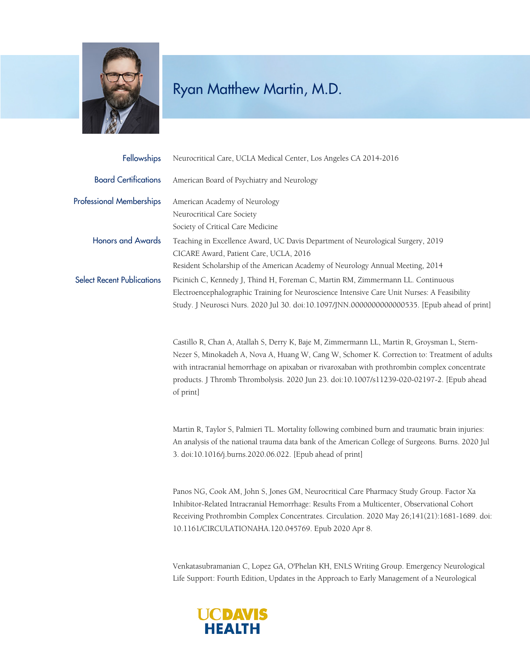

## Ryan Matthew Martin, M.D.

| Fellowships                       | Neurocritical Care, UCLA Medical Center, Los Angeles CA 2014-2016                                                                                                                                                                                                                                                                                                                                     |
|-----------------------------------|-------------------------------------------------------------------------------------------------------------------------------------------------------------------------------------------------------------------------------------------------------------------------------------------------------------------------------------------------------------------------------------------------------|
| <b>Board Certifications</b>       | American Board of Psychiatry and Neurology                                                                                                                                                                                                                                                                                                                                                            |
| <b>Professional Memberships</b>   | American Academy of Neurology<br>Neurocritical Care Society<br>Society of Critical Care Medicine                                                                                                                                                                                                                                                                                                      |
| <b>Honors and Awards</b>          | Teaching in Excellence Award, UC Davis Department of Neurological Surgery, 2019<br>CICARE Award, Patient Care, UCLA, 2016<br>Resident Scholarship of the American Academy of Neurology Annual Meeting, 2014                                                                                                                                                                                           |
| <b>Select Recent Publications</b> | Picinich C, Kennedy J, Thind H, Foreman C, Martin RM, Zimmermann LL. Continuous<br>Electroencephalographic Training for Neuroscience Intensive Care Unit Nurses: A Feasibility<br>Study. J Neurosci Nurs. 2020 Jul 30. doi:10.1097/JNN.0000000000000535. [Epub ahead of print]                                                                                                                        |
|                                   | Castillo R, Chan A, Atallah S, Derry K, Baje M, Zimmermann LL, Martin R, Groysman L, Stern-<br>Nezer S, Minokadeh A, Nova A, Huang W, Cang W, Schomer K. Correction to: Treatment of adults<br>with intracranial hemorrhage on apixaban or rivaroxaban with prothrombin complex concentrate<br>products. J Thromb Thrombolysis. 2020 Jun 23. doi:10.1007/s11239-020-02197-2. [Epub ahead<br>of print] |
|                                   | Martin R, Taylor S, Palmieri TL. Mortality following combined burn and traumatic brain injuries:<br>An analysis of the national trauma data bank of the American College of Surgeons. Burns. 2020 Jul<br>3. doi:10.1016/j.burns.2020.06.022. [Epub ahead of print]                                                                                                                                    |
|                                   | Panos NG, Cook AM, John S, Jones GM, Neurocritical Care Pharmacy Study Group. Factor Xa<br>Inhibitor-Related Intracranial Hemorrhage: Results From a Multicenter, Observational Cohort<br>Receiving Prothrombin Complex Concentrates. Circulation. 2020 May 26;141(21):1681-1689. doi:<br>10.1161/CIRCULATIONAHA.120.045769. Epub 2020 Apr 8.                                                         |

Venkatasubramanian C, Lopez GA, O'Phelan KH, ENLS Writing Group. Emergency Neurological Life Support: Fourth Edition, Updates in the Approach to Early Management of a Neurological